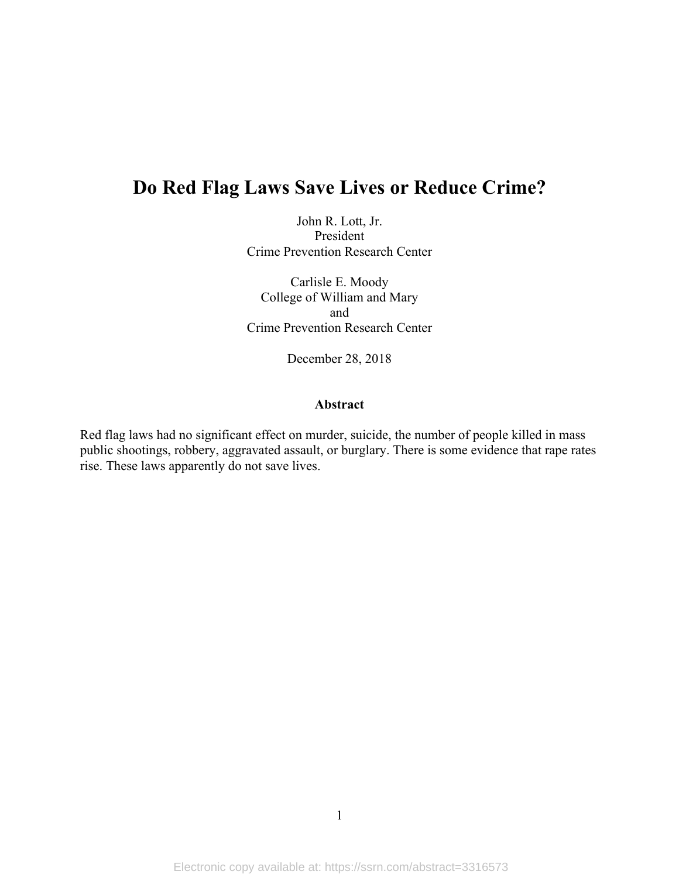# **Do Red Flag Laws Save Lives or Reduce Crime?**

John R. Lott, Jr. President Crime Prevention Research Center

Carlisle E. Moody College of William and Mary and Crime Prevention Research Center

December 28, 2018

#### **Abstract**

Red flag laws had no significant effect on murder, suicide, the number of people killed in mass public shootings, robbery, aggravated assault, or burglary. There is some evidence that rape rates rise. These laws apparently do not save lives.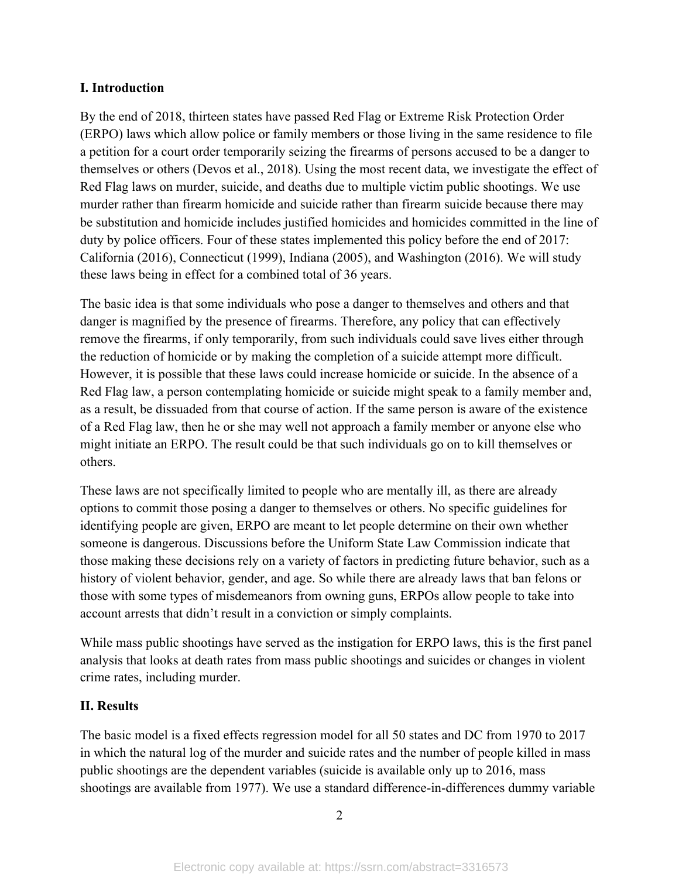#### **I. Introduction**

By the end of 2018, thirteen states have passed Red Flag or Extreme Risk Protection Order (ERPO) laws which allow police or family members or those living in the same residence to file a petition for a court order temporarily seizing the firearms of persons accused to be a danger to themselves or others (Devos et al., 2018). Using the most recent data, we investigate the effect of Red Flag laws on murder, suicide, and deaths due to multiple victim public shootings. We use murder rather than firearm homicide and suicide rather than firearm suicide because there may be substitution and homicide includes justified homicides and homicides committed in the line of duty by police officers. Four of these states implemented this policy before the end of 2017: California (2016), Connecticut (1999), Indiana (2005), and Washington (2016). We will study these laws being in effect for a combined total of 36 years.

The basic idea is that some individuals who pose a danger to themselves and others and that danger is magnified by the presence of firearms. Therefore, any policy that can effectively remove the firearms, if only temporarily, from such individuals could save lives either through the reduction of homicide or by making the completion of a suicide attempt more difficult. However, it is possible that these laws could increase homicide or suicide. In the absence of a Red Flag law, a person contemplating homicide or suicide might speak to a family member and, as a result, be dissuaded from that course of action. If the same person is aware of the existence of a Red Flag law, then he or she may well not approach a family member or anyone else who might initiate an ERPO. The result could be that such individuals go on to kill themselves or others.

These laws are not specifically limited to people who are mentally ill, as there are already options to commit those posing a danger to themselves or others. No specific guidelines for identifying people are given, ERPO are meant to let people determine on their own whether someone is dangerous. Discussions before the Uniform State Law Commission indicate that those making these decisions rely on a variety of factors in predicting future behavior, such as a history of violent behavior, gender, and age. So while there are already laws that ban felons or those with some types of misdemeanors from owning guns, ERPOs allow people to take into account arrests that didn't result in a conviction or simply complaints.

While mass public shootings have served as the instigation for ERPO laws, this is the first panel analysis that looks at death rates from mass public shootings and suicides or changes in violent crime rates, including murder.

## **II. Results**

The basic model is a fixed effects regression model for all 50 states and DC from 1970 to 2017 in which the natural log of the murder and suicide rates and the number of people killed in mass public shootings are the dependent variables (suicide is available only up to 2016, mass shootings are available from 1977). We use a standard difference-in-differences dummy variable

2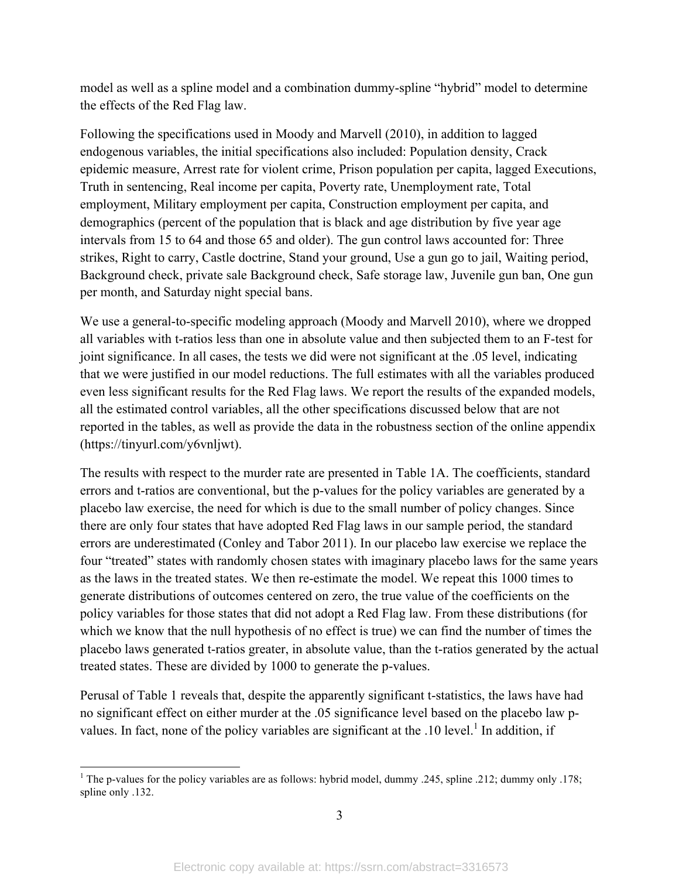model as well as a spline model and a combination dummy-spline "hybrid" model to determine the effects of the Red Flag law.

Following the specifications used in Moody and Marvell (2010), in addition to lagged endogenous variables, the initial specifications also included: Population density, Crack epidemic measure, Arrest rate for violent crime, Prison population per capita, lagged Executions, Truth in sentencing, Real income per capita, Poverty rate, Unemployment rate, Total employment, Military employment per capita, Construction employment per capita, and demographics (percent of the population that is black and age distribution by five year age intervals from 15 to 64 and those 65 and older). The gun control laws accounted for: Three strikes, Right to carry, Castle doctrine, Stand your ground, Use a gun go to jail, Waiting period, Background check, private sale Background check, Safe storage law, Juvenile gun ban, One gun per month, and Saturday night special bans.

We use a general-to-specific modeling approach (Moody and Marvell 2010), where we dropped all variables with t-ratios less than one in absolute value and then subjected them to an F-test for joint significance. In all cases, the tests we did were not significant at the .05 level, indicating that we were justified in our model reductions. The full estimates with all the variables produced even less significant results for the Red Flag laws. We report the results of the expanded models, all the estimated control variables, all the other specifications discussed below that are not reported in the tables, as well as provide the data in the robustness section of the online appendix (https://tinyurl.com/y6vnljwt).

The results with respect to the murder rate are presented in Table 1A. The coefficients, standard errors and t-ratios are conventional, but the p-values for the policy variables are generated by a placebo law exercise, the need for which is due to the small number of policy changes. Since there are only four states that have adopted Red Flag laws in our sample period, the standard errors are underestimated (Conley and Tabor 2011). In our placebo law exercise we replace the four "treated" states with randomly chosen states with imaginary placebo laws for the same years as the laws in the treated states. We then re-estimate the model. We repeat this 1000 times to generate distributions of outcomes centered on zero, the true value of the coefficients on the policy variables for those states that did not adopt a Red Flag law. From these distributions (for which we know that the null hypothesis of no effect is true) we can find the number of times the placebo laws generated t-ratios greater, in absolute value, than the t-ratios generated by the actual treated states. These are divided by 1000 to generate the p-values.

Perusal of Table 1 reveals that, despite the apparently significant t-statistics, the laws have had no significant effect on either murder at the .05 significance level based on the placebo law pvalues. In fact, none of the policy variables are significant at the  $10$  level.<sup>1</sup> In addition, if

<sup>&</sup>lt;sup>1</sup> The p-values for the policy variables are as follows: hybrid model, dummy .245, spline .212; dummy only .178; spline only .132.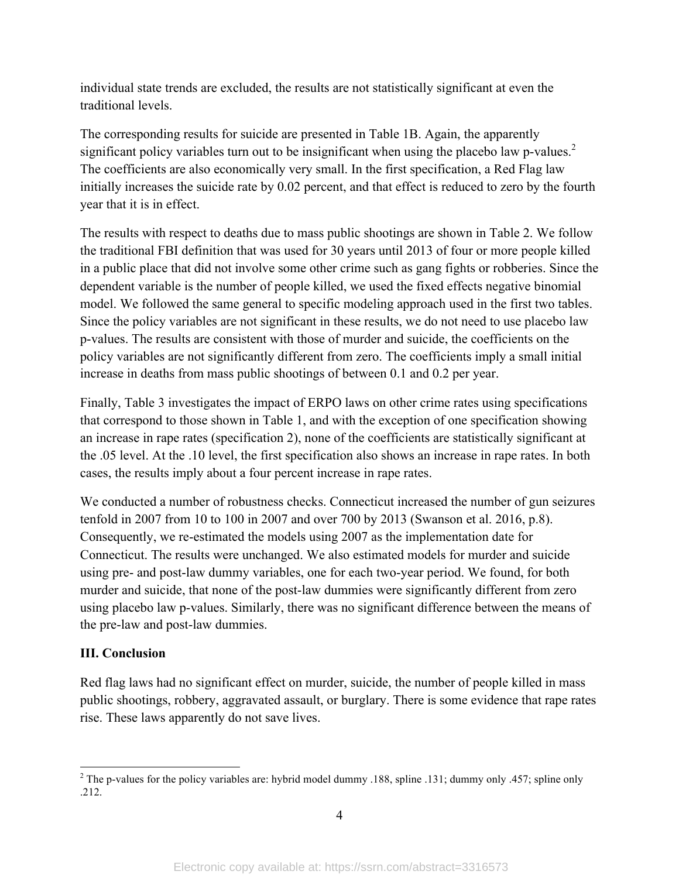individual state trends are excluded, the results are not statistically significant at even the traditional levels.

The corresponding results for suicide are presented in Table 1B. Again, the apparently significant policy variables turn out to be insignificant when using the placebo law p-values.<sup>2</sup> The coefficients are also economically very small. In the first specification, a Red Flag law initially increases the suicide rate by 0.02 percent, and that effect is reduced to zero by the fourth year that it is in effect.

The results with respect to deaths due to mass public shootings are shown in Table 2. We follow the traditional FBI definition that was used for 30 years until 2013 of four or more people killed in a public place that did not involve some other crime such as gang fights or robberies. Since the dependent variable is the number of people killed, we used the fixed effects negative binomial model. We followed the same general to specific modeling approach used in the first two tables. Since the policy variables are not significant in these results, we do not need to use placebo law p-values. The results are consistent with those of murder and suicide, the coefficients on the policy variables are not significantly different from zero. The coefficients imply a small initial increase in deaths from mass public shootings of between 0.1 and 0.2 per year.

Finally, Table 3 investigates the impact of ERPO laws on other crime rates using specifications that correspond to those shown in Table 1, and with the exception of one specification showing an increase in rape rates (specification 2), none of the coefficients are statistically significant at the .05 level. At the .10 level, the first specification also shows an increase in rape rates. In both cases, the results imply about a four percent increase in rape rates.

We conducted a number of robustness checks. Connecticut increased the number of gun seizures tenfold in 2007 from 10 to 100 in 2007 and over 700 by 2013 (Swanson et al. 2016, p.8). Consequently, we re-estimated the models using 2007 as the implementation date for Connecticut. The results were unchanged. We also estimated models for murder and suicide using pre- and post-law dummy variables, one for each two-year period. We found, for both murder and suicide, that none of the post-law dummies were significantly different from zero using placebo law p-values. Similarly, there was no significant difference between the means of the pre-law and post-law dummies.

## **III. Conclusion**

Red flag laws had no significant effect on murder, suicide, the number of people killed in mass public shootings, robbery, aggravated assault, or burglary. There is some evidence that rape rates rise. These laws apparently do not save lives.

<sup>&</sup>lt;sup>2</sup> The p-values for the policy variables are: hybrid model dummy .188, spline .131; dummy only .457; spline only .212.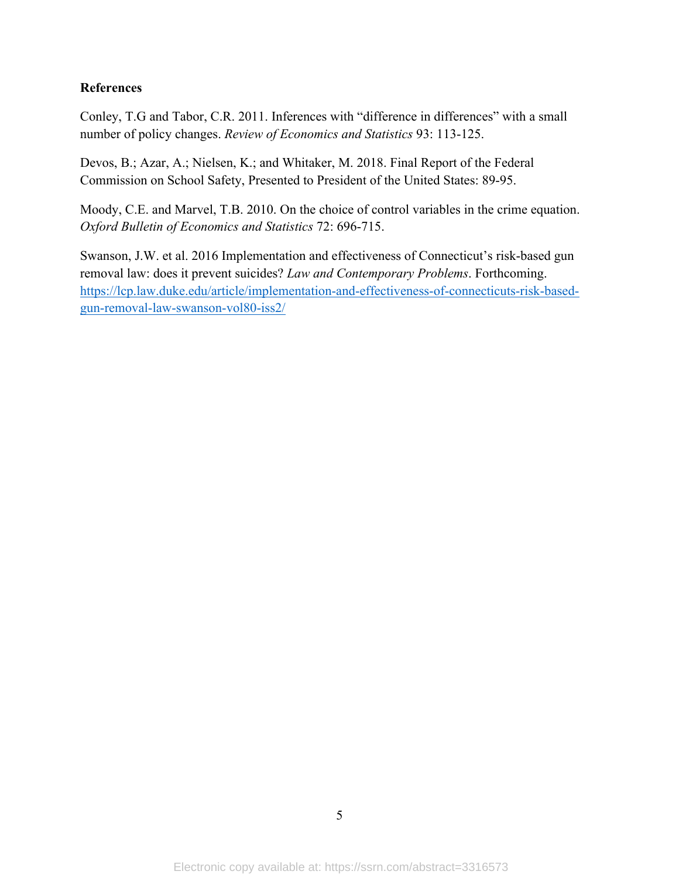#### **References**

Conley, T.G and Tabor, C.R. 2011. Inferences with "difference in differences" with a small number of policy changes. *Review of Economics and Statistics* 93: 113-125.

Devos, B.; Azar, A.; Nielsen, K.; and Whitaker, M. 2018. Final Report of the Federal Commission on School Safety, Presented to President of the United States: 89-95.

Moody, C.E. and Marvel, T.B. 2010. On the choice of control variables in the crime equation. *Oxford Bulletin of Economics and Statistics* 72: 696-715.

Swanson, J.W. et al. 2016 Implementation and effectiveness of Connecticut's risk-based gun removal law: does it prevent suicides? *Law and Contemporary Problems*. Forthcoming. https://lcp.law.duke.edu/article/implementation-and-effectiveness-of-connecticuts-risk-basedgun-removal-law-swanson-vol80-iss2/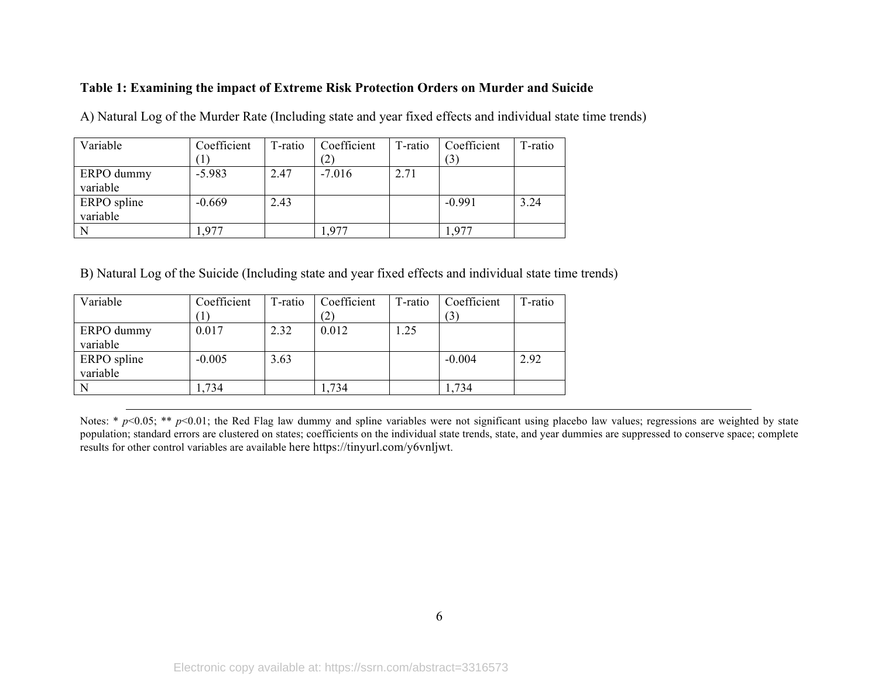#### **Table 1: Examining the impact of Extreme Risk Protection Orders on Murder and Suicide**

| Variable    | Coefficient | T-ratio | Coefficient | T-ratio | Coefficient | T-ratio |
|-------------|-------------|---------|-------------|---------|-------------|---------|
|             |             |         | (2)         |         | (3)         |         |
| ERPO dummy  | $-5.983$    | 2.47    | $-7.016$    | 2.71    |             |         |
| variable    |             |         |             |         |             |         |
| ERPO spline | $-0.669$    | 2.43    |             |         | $-0.991$    | 3.24    |
| variable    |             |         |             |         |             |         |
|             | .977        |         | . 977       |         | 1.977       |         |

A) Natural Log of the Murder Rate (Including state and year fixed effects and individual state time trends)

B) Natural Log of the Suicide (Including state and year fixed effects and individual state time trends)

| Variable    | Coefficient | T-ratio | Coefficient | T-ratio | Coefficient | T-ratio |
|-------------|-------------|---------|-------------|---------|-------------|---------|
|             |             |         |             |         | (3)         |         |
| ERPO dummy  | 0.017       | 2.32    | 0.012       | 1.25    |             |         |
| variable    |             |         |             |         |             |         |
| ERPO spline | $-0.005$    | 3.63    |             |         | $-0.004$    | 2.92    |
| variable    |             |         |             |         |             |         |
| N           | .734        |         | ,734        |         | ,734        |         |

Notes: \*  $p$ <0.05; \*\*  $p$ <0.01; the Red Flag law dummy and spline variables were not significant using placebo law values; regressions are weighted by state population; standard errors are clustered on states; coefficients on the individual state trends, state, and year dummies are suppressed to conserve space; complete results for other control variables are available here https://tinyurl.com/y6vnljwt.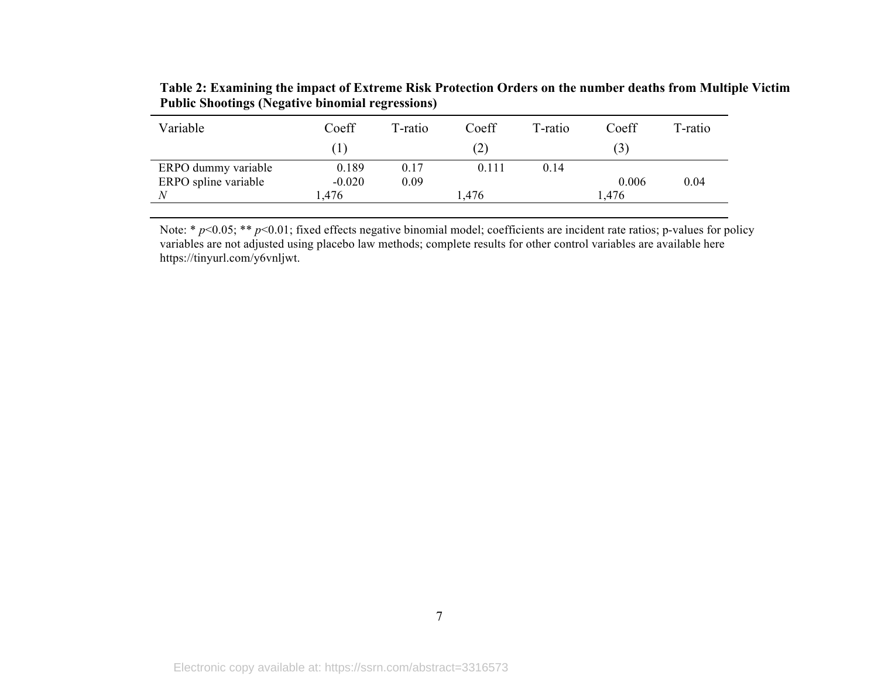| Variable             | Coeff    | T-ratio | Coeff             | T-ratio | Coeff | T-ratio |
|----------------------|----------|---------|-------------------|---------|-------|---------|
|                      |          |         | (2)               |         | (3)   |         |
| ERPO dummy variable  | 0.189    | 0.17    | 0.111             | 0.14    |       |         |
| ERPO spline variable | $-0.020$ | 0.09    |                   |         | 0.006 | 0.04    |
| N                    | .476     |         | $\frac{1.476}{ }$ |         | .476  |         |

**Table 2: Examining the impact of Extreme Risk Protection Orders on the number deaths from Multiple Victim Public Shootings (Negative binomial regressions)**

Note: \* *p*<0.05; \*\* *p*<0.01; fixed effects negative binomial model; coefficients are incident rate ratios; p-values for policy variables are not adjusted using placebo law methods; complete results for other control variables are available here https://tinyurl.com/y6vnljwt.